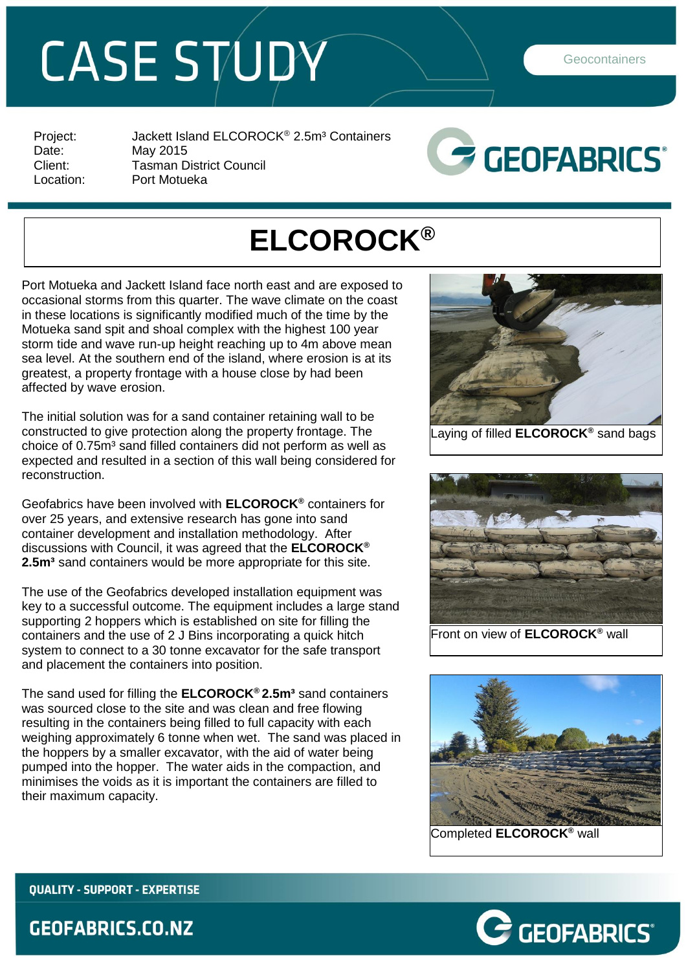## CASE STUDY

**Geocontainers** 

Project: Jackett Island ELCOROCK<sup>®</sup> 2.5m<sup>3</sup> Containers<br>Date: May 2015 May 2015 Client: Tasman District Council<br>
Location: Port Motueka Port Motueka



## **ELCOROCK®**

Port Motueka and Jackett Island face north east and are exposed to occasional storms from this quarter. The wave climate on the coast in these locations is significantly modified much of the time by the Motueka sand spit and shoal complex with the highest 100 year storm tide and wave run-up height reaching up to 4m above mean sea level. At the southern end of the island, where erosion is at its greatest, a property frontage with a house close by had been affected by wave erosion.

The initial solution was for a sand container retaining wall to be constructed to give protection along the property frontage. The choice of 0.75m<sup>3</sup> sand filled containers did not perform as well as expected and resulted in a section of this wall being considered for reconstruction.

Geofabrics have been involved with **ELCOROCK®** containers for over 25 years, and extensive research has gone into sand container development and installation methodology. After discussions with Council, it was agreed that the **ELCOROCK® 2.5m<sup>3</sup>** sand containers would be more appropriate for this site.

The use of the Geofabrics developed installation equipment was key to a successful outcome. The equipment includes a large stand supporting 2 hoppers which is established on site for filling the containers and the use of 2 J Bins incorporating a quick hitch system to connect to a 30 tonne excavator for the safe transport and placement the containers into position.

The sand used for filling the **ELCOROCK® 2.5m³** sand containers was sourced close to the site and was clean and free flowing resulting in the containers being filled to full capacity with each weighing approximately 6 tonne when wet. The sand was placed in the hoppers by a smaller excavator, with the aid of water being pumped into the hopper. The water aids in the compaction, and minimises the voids as it is important the containers are filled to their maximum capacity.





Front on view of **ELCOROCK®** wall





**QUALITY - SUPPORT - EXPERTISE** 

## **GEOFABRICS.CO.NZ**